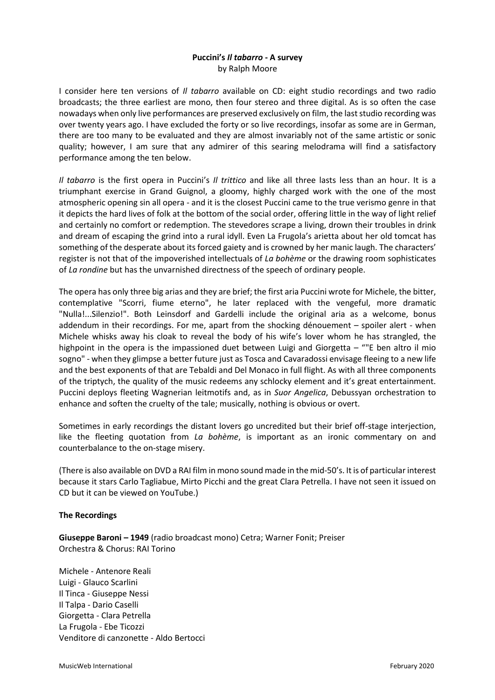# **Puccini's** *Il tabarro* **- A survey** by Ralph Moore

I consider here ten versions of *Il tabarro* available on CD: eight studio recordings and two radio broadcasts; the three earliest are mono, then four stereo and three digital. As is so often the case nowadays when only live performances are preserved exclusively on film, the last studio recording was over twenty years ago. I have excluded the forty or so live recordings, insofar as some are in German, there are too many to be evaluated and they are almost invariably not of the same artistic or sonic quality; however, I am sure that any admirer of this searing melodrama will find a satisfactory performance among the ten below.

*Il tabarro* is the first opera in Puccini's *Il trittico* and like all three lasts less than an hour. It is a triumphant exercise in Grand Guignol, a gloomy, highly charged work with the one of the most atmospheric opening sin all opera - and it is the closest Puccini came to the true verismo genre in that it depicts the hard lives of folk at the bottom of the social order, offering little in the way of light relief and certainly no comfort or redemption. The stevedores scrape a living, drown their troubles in drink and dream of escaping the grind into a rural idyll. Even La Frugola's arietta about her old tomcat has something of the desperate about its forced gaiety and is crowned by her manic laugh. The characters' register is not that of the impoverished intellectuals of *La bohème* or the drawing room sophisticates of *La rondine* but has the unvarnished directness of the speech of ordinary people.

The opera has only three big arias and they are brief; the first aria Puccini wrote for Michele, the bitter, contemplative "Scorri, fiume eterno", he later replaced with the vengeful, more dramatic "Nulla!...Silenzio!". Both Leinsdorf and Gardelli include the original aria as a welcome, bonus addendum in their recordings. For me, apart from the shocking dénouement – spoiler alert - when Michele whisks away his cloak to reveal the body of his wife's lover whom he has strangled, the highpoint in the opera is the impassioned duet between Luigi and Giorgetta – ""E ben altro il mio sogno" - when they glimpse a better future just as Tosca and Cavaradossi envisage fleeing to a new life and the best exponents of that are Tebaldi and Del Monaco in full flight. As with all three components of the triptych, the quality of the music redeems any schlocky element and it's great entertainment. Puccini deploys fleeting Wagnerian leitmotifs and, as in *Suor Angelica*, Debussyan orchestration to enhance and soften the cruelty of the tale; musically, nothing is obvious or overt.

Sometimes in early recordings the distant lovers go uncredited but their brief off-stage interjection, like the fleeting quotation from *La bohème*, is important as an ironic commentary on and counterbalance to the on-stage misery.

(There is also available on DVD a RAI film in mono sound made in the mid-50's. It is of particular interest because it stars Carlo Tagliabue, Mirto Picchi and the great Clara Petrella. I have not seen it issued on CD but it can be viewed on YouTube.)

# **The Recordings**

**Giuseppe Baroni – 1949** (radio broadcast mono) Cetra; Warner Fonit; Preiser Orchestra & Chorus: RAI Torino

Michele - Antenore Reali Luigi - Glauco Scarlini Il Tinca - Giuseppe Nessi Il Talpa - Dario Caselli Giorgetta - Clara Petrella La Frugola - Ebe Ticozzi Venditore di canzonette - Aldo Bertocci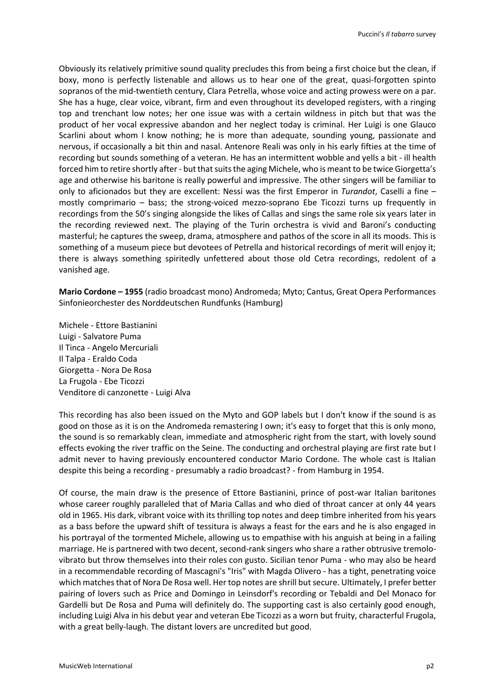Obviously its relatively primitive sound quality precludes this from being a first choice but the clean, if boxy, mono is perfectly listenable and allows us to hear one of the great, quasi-forgotten spinto sopranos of the mid-twentieth century, Clara Petrella, whose voice and acting prowess were on a par. She has a huge, clear voice, vibrant, firm and even throughout its developed registers, with a ringing top and trenchant low notes; her one issue was with a certain wildness in pitch but that was the product of her vocal expressive abandon and her neglect today is criminal. Her Luigi is one Glauco Scarlini about whom I know nothing; he is more than adequate, sounding young, passionate and nervous, if occasionally a bit thin and nasal. Antenore Reali was only in his early fifties at the time of recording but sounds something of a veteran. He has an intermittent wobble and yells a bit - ill health forced him to retire shortly after - but that suits the aging Michele, who is meant to be twice Giorgetta's age and otherwise his baritone is really powerful and impressive. The other singers will be familiar to only to aficionados but they are excellent: Nessi was the first Emperor in *Turandot*, Caselli a fine – mostly comprimario – bass; the strong-voiced mezzo-soprano Ebe Ticozzi turns up frequently in recordings from the 50's singing alongside the likes of Callas and sings the same role six years later in the recording reviewed next. The playing of the Turin orchestra is vivid and Baroni's conducting masterful; he captures the sweep, drama, atmosphere and pathos of the score in all its moods. This is something of a museum piece but devotees of Petrella and historical recordings of merit will enjoy it; there is always something spiritedly unfettered about those old Cetra recordings, redolent of a vanished age.

**Mario Cordone – 1955** (radio broadcast mono) Andromeda; Myto; Cantus, Great Opera Performances Sinfonieorchester des Norddeutschen Rundfunks (Hamburg)

Michele - Ettore Bastianini Luigi - Salvatore Puma Il Tinca - Angelo Mercuriali Il Talpa - Eraldo Coda Giorgetta - Nora De Rosa La Frugola - Ebe Ticozzi Venditore di canzonette - Luigi Alva

This recording has also been issued on the Myto and GOP labels but I don't know if the sound is as good on those as it is on the Andromeda remastering I own; it's easy to forget that this is only mono, the sound is so remarkably clean, immediate and atmospheric right from the start, with lovely sound effects evoking the river traffic on the Seine. The conducting and orchestral playing are first rate but I admit never to having previously encountered conductor Mario Cordone. The whole cast is Italian despite this being a recording - presumably a radio broadcast? - from Hamburg in 1954.

Of course, the main draw is the presence of Ettore Bastianini, prince of post-war Italian baritones whose career roughly paralleled that of Maria Callas and who died of throat cancer at only 44 years old in 1965. His dark, vibrant voice with its thrilling top notes and deep timbre inherited from his years as a bass before the upward shift of tessitura is always a feast for the ears and he is also engaged in his portrayal of the tormented Michele, allowing us to empathise with his anguish at being in a failing marriage. He is partnered with two decent, second-rank singers who share a rather obtrusive tremolovibrato but throw themselves into their roles con gusto. Sicilian tenor Puma - who may also be heard in a recommendable recording of Mascagni's "Iris" with Magda Olivero - has a tight, penetrating voice which matches that of Nora De Rosa well. Her top notes are shrill but secure. Ultimately, I prefer better pairing of lovers such as Price and Domingo in Leinsdorf's recording or Tebaldi and Del Monaco for Gardelli but De Rosa and Puma will definitely do. The supporting cast is also certainly good enough, including Luigi Alva in his debut year and veteran Ebe Ticozzi as a worn but fruity, characterful Frugola, with a great belly-laugh. The distant lovers are uncredited but good.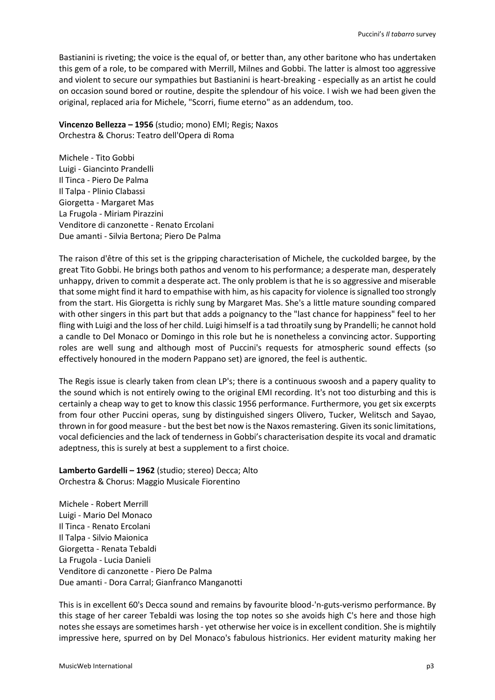Bastianini is riveting; the voice is the equal of, or better than, any other baritone who has undertaken this gem of a role, to be compared with Merrill, Milnes and Gobbi. The latter is almost too aggressive and violent to secure our sympathies but Bastianini is heart-breaking - especially as an artist he could on occasion sound bored or routine, despite the splendour of his voice. I wish we had been given the original, replaced aria for Michele, "Scorri, fiume eterno" as an addendum, too.

**Vincenzo Bellezza – 1956** (studio; mono) EMI; Regis; Naxos Orchestra & Chorus: Teatro dell'Opera di Roma

Michele - Tito Gobbi Luigi - Giancinto Prandelli Il Tinca - Piero De Palma Il Talpa - Plinio Clabassi Giorgetta - Margaret Mas La Frugola - Miriam Pirazzini Venditore di canzonette - Renato Ercolani Due amanti - Silvia Bertona; Piero De Palma

The raison d'être of this set is the gripping characterisation of Michele, the cuckolded bargee, by the great Tito Gobbi. He brings both pathos and venom to his performance; a desperate man, desperately unhappy, driven to commit a desperate act. The only problem is that he is so aggressive and miserable that some might find it hard to empathise with him, as his capacity for violence is signalled too strongly from the start. His Giorgetta is richly sung by Margaret Mas. She's a little mature sounding compared with other singers in this part but that adds a poignancy to the "last chance for happiness" feel to her fling with Luigi and the loss of her child. Luigi himself is a tad throatily sung by Prandelli; he cannot hold a candle to Del Monaco or Domingo in this role but he is nonetheless a convincing actor. Supporting roles are well sung and although most of Puccini's requests for atmospheric sound effects (so effectively honoured in the modern Pappano set) are ignored, the feel is authentic.

The Regis issue is clearly taken from clean LP's; there is a continuous swoosh and a papery quality to the sound which is not entirely owing to the original EMI recording. It's not too disturbing and this is certainly a cheap way to get to know this classic 1956 performance. Furthermore, you get six excerpts from four other Puccini operas, sung by distinguished singers Olivero, Tucker, Welitsch and Sayao, thrown in for good measure - but the best bet now is the Naxos remastering. Given its sonic limitations, vocal deficiencies and the lack of tenderness in Gobbi's characterisation despite its vocal and dramatic adeptness, this is surely at best a supplement to a first choice.

**Lamberto Gardelli – 1962** (studio; stereo) Decca; Alto Orchestra & Chorus: Maggio Musicale Fiorentino

Michele - Robert Merrill Luigi - Mario Del Monaco Il Tinca - Renato Ercolani Il Talpa - Silvio Maionica Giorgetta - Renata Tebaldi La Frugola - Lucia Danieli Venditore di canzonette - Piero De Palma Due amanti - Dora Carral; Gianfranco Manganotti

This is in excellent 60's Decca sound and remains by favourite blood-'n-guts-verismo performance. By this stage of her career Tebaldi was losing the top notes so she avoids high C's here and those high notes she essays are sometimes harsh - yet otherwise her voice is in excellent condition. She is mightily impressive here, spurred on by Del Monaco's fabulous histrionics. Her evident maturity making her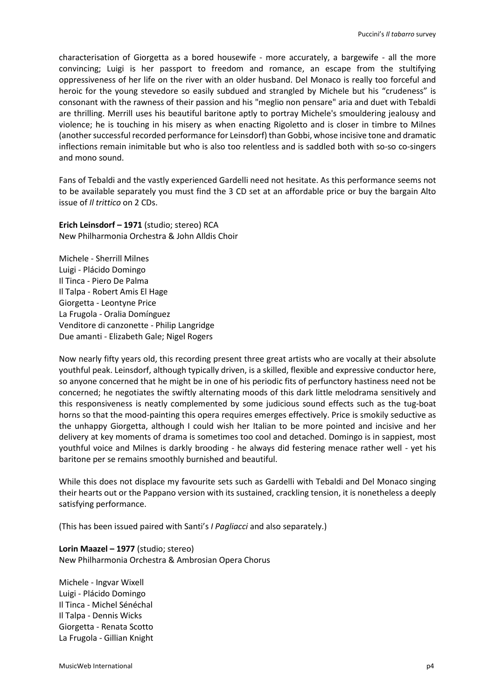characterisation of Giorgetta as a bored housewife - more accurately, a bargewife - all the more convincing; Luigi is her passport to freedom and romance, an escape from the stultifying oppressiveness of her life on the river with an older husband. Del Monaco is really too forceful and heroic for the young stevedore so easily subdued and strangled by Michele but his "crudeness" is consonant with the rawness of their passion and his "meglio non pensare" aria and duet with Tebaldi are thrilling. Merrill uses his beautiful baritone aptly to portray Michele's smouldering jealousy and violence; he is touching in his misery as when enacting Rigoletto and is closer in timbre to Milnes (another successful recorded performance for Leinsdorf) than Gobbi, whose incisive tone and dramatic inflections remain inimitable but who is also too relentless and is saddled both with so-so co-singers and mono sound.

Fans of Tebaldi and the vastly experienced Gardelli need not hesitate. As this performance seems not to be available separately you must find the 3 CD set at an affordable price or buy the bargain Alto issue of *Il trittico* on 2 CDs.

**Erich Leinsdorf – 1971** (studio; stereo) RCA New Philharmonia Orchestra & John Alldis Choir

Michele - Sherrill Milnes Luigi - Plácido Domingo Il Tinca - Piero De Palma Il Talpa - Robert Amis El Hage Giorgetta - Leontyne Price La Frugola - Oralia Domínguez Venditore di canzonette - Philip Langridge Due amanti - Elizabeth Gale; Nigel Rogers

Now nearly fifty years old, this recording present three great artists who are vocally at their absolute youthful peak. Leinsdorf, although typically driven, is a skilled, flexible and expressive conductor here, so anyone concerned that he might be in one of his periodic fits of perfunctory hastiness need not be concerned; he negotiates the swiftly alternating moods of this dark little melodrama sensitively and this responsiveness is neatly complemented by some judicious sound effects such as the tug-boat horns so that the mood-painting this opera requires emerges effectively. Price is smokily seductive as the unhappy Giorgetta, although I could wish her Italian to be more pointed and incisive and her delivery at key moments of drama is sometimes too cool and detached. Domingo is in sappiest, most youthful voice and Milnes is darkly brooding - he always did festering menace rather well - yet his baritone per se remains smoothly burnished and beautiful.

While this does not displace my favourite sets such as Gardelli with Tebaldi and Del Monaco singing their hearts out or the Pappano version with its sustained, crackling tension, it is nonetheless a deeply satisfying performance.

(This has been issued paired with Santi's *I Pagliacci* and also separately.)

**Lorin Maazel – 1977** (studio; stereo) New Philharmonia Orchestra & Ambrosian Opera Chorus

Michele - Ingvar Wixell Luigi - Plácido Domingo Il Tinca - Michel Sénéchal Il Talpa - Dennis Wicks Giorgetta - Renata Scotto La Frugola - Gillian Knight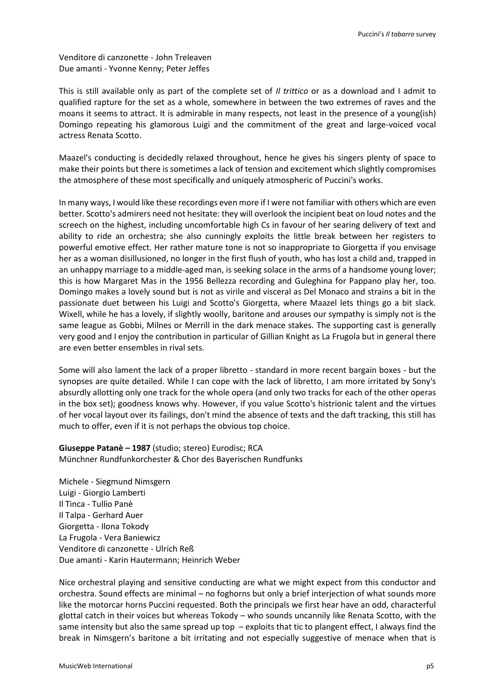Venditore di canzonette - John Treleaven Due amanti - Yvonne Kenny; Peter Jeffes

This is still available only as part of the complete set of *Il trittico* or as a download and I admit to qualified rapture for the set as a whole, somewhere in between the two extremes of raves and the moans it seems to attract. It is admirable in many respects, not least in the presence of a young(ish) Domingo repeating his glamorous Luigi and the commitment of the great and large-voiced vocal actress Renata Scotto.

Maazel's conducting is decidedly relaxed throughout, hence he gives his singers plenty of space to make their points but there is sometimes a lack of tension and excitement which slightly compromises the atmosphere of these most specifically and uniquely atmospheric of Puccini's works.

In many ways, I would like these recordings even more if I were not familiar with others which are even better. Scotto's admirers need not hesitate: they will overlook the incipient beat on loud notes and the screech on the highest, including uncomfortable high Cs in favour of her searing delivery of text and ability to ride an orchestra; she also cunningly exploits the little break between her registers to powerful emotive effect. Her rather mature tone is not so inappropriate to Giorgetta if you envisage her as a woman disillusioned, no longer in the first flush of youth, who has lost a child and, trapped in an unhappy marriage to a middle-aged man, is seeking solace in the arms of a handsome young lover; this is how Margaret Mas in the 1956 Bellezza recording and Guleghina for Pappano play her, too. Domingo makes a lovely sound but is not as virile and visceral as Del Monaco and strains a bit in the passionate duet between his Luigi and Scotto's Giorgetta, where Maazel lets things go a bit slack. Wixell, while he has a lovely, if slightly woolly, baritone and arouses our sympathy is simply not is the same league as Gobbi, Milnes or Merrill in the dark menace stakes. The supporting cast is generally very good and I enjoy the contribution in particular of Gillian Knight as La Frugola but in general there are even better ensembles in rival sets.

Some will also lament the lack of a proper libretto - standard in more recent bargain boxes - but the synopses are quite detailed. While I can cope with the lack of libretto, I am more irritated by Sony's absurdly allotting only one track for the whole opera (and only two tracks for each of the other operas in the box set); goodness knows why. However, if you value Scotto's histrionic talent and the virtues of her vocal layout over its failings, don't mind the absence of texts and the daft tracking, this still has much to offer, even if it is not perhaps the obvious top choice.

### **Giuseppe Patanè – 1987** (studio; stereo) Eurodisc; RCA Münchner Rundfunkorchester & Chor des Bayerischen Rundfunks

Michele - Siegmund Nimsgern Luigi - Giorgio Lamberti Il Tinca - Tullio Panè Il Talpa - Gerhard Auer Giorgetta - Ilona Tokody La Frugola - Vera Baniewicz Venditore di canzonette - Ulrich Reß Due amanti - Karin Hautermann; Heinrich Weber

Nice orchestral playing and sensitive conducting are what we might expect from this conductor and orchestra. Sound effects are minimal – no foghorns but only a brief interjection of what sounds more like the motorcar horns Puccini requested. Both the principals we first hear have an odd, characterful glottal catch in their voices but whereas Tokody – who sounds uncannily like Renata Scotto, with the same intensity but also the same spread up top – exploits that tic to plangent effect, I always find the break in Nimsgern's baritone a bit irritating and not especially suggestive of menace when that is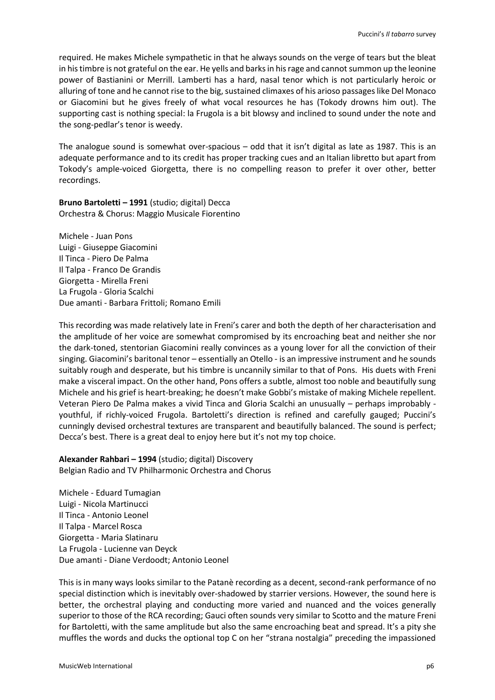required. He makes Michele sympathetic in that he always sounds on the verge of tears but the bleat in his timbre is not grateful on the ear. He yells and barks in his rage and cannot summon up the leonine power of Bastianini or Merrill. Lamberti has a hard, nasal tenor which is not particularly heroic or alluring of tone and he cannot rise to the big, sustained climaxes of his arioso passages like Del Monaco or Giacomini but he gives freely of what vocal resources he has (Tokody drowns him out). The supporting cast is nothing special: la Frugola is a bit blowsy and inclined to sound under the note and the song-pedlar's tenor is weedy.

The analogue sound is somewhat over-spacious – odd that it isn't digital as late as 1987. This is an adequate performance and to its credit has proper tracking cues and an Italian libretto but apart from Tokody's ample-voiced Giorgetta, there is no compelling reason to prefer it over other, better recordings.

**Bruno Bartoletti – 1991** (studio; digital) Decca Orchestra & Chorus: Maggio Musicale Fiorentino

Michele - Juan Pons Luigi - Giuseppe Giacomini Il Tinca - Piero De Palma Il Talpa - Franco De Grandis Giorgetta - Mirella Freni La Frugola - Gloria Scalchi Due amanti - Barbara Frittoli; Romano Emili

This recording was made relatively late in Freni's carer and both the depth of her characterisation and the amplitude of her voice are somewhat compromised by its encroaching beat and neither she nor the dark-toned, stentorian Giacomini really convinces as a young lover for all the conviction of their singing. Giacomini's baritonal tenor – essentially an Otello - is an impressive instrument and he sounds suitably rough and desperate, but his timbre is uncannily similar to that of Pons. His duets with Freni make a visceral impact. On the other hand, Pons offers a subtle, almost too noble and beautifully sung Michele and his grief is heart-breaking; he doesn't make Gobbi's mistake of making Michele repellent. Veteran Piero De Palma makes a vivid Tinca and Gloria Scalchi an unusually – perhaps improbably youthful, if richly-voiced Frugola. Bartoletti's direction is refined and carefully gauged; Puccini's cunningly devised orchestral textures are transparent and beautifully balanced. The sound is perfect; Decca's best. There is a great deal to enjoy here but it's not my top choice.

**Alexander Rahbari – 1994** (studio; digital) Discovery Belgian Radio and TV Philharmonic Orchestra and Chorus

Michele - Eduard Tumagian Luigi - Nicola Martinucci Il Tinca - Antonio Leonel Il Talpa - Marcel Rosca Giorgetta - Maria Slatinaru La Frugola - Lucienne van Deyck Due amanti - Diane Verdoodt; Antonio Leonel

This is in many ways looks similar to the Patanè recording as a decent, second-rank performance of no special distinction which is inevitably over-shadowed by starrier versions. However, the sound here is better, the orchestral playing and conducting more varied and nuanced and the voices generally superior to those of the RCA recording; Gauci often sounds very similar to Scotto and the mature Freni for Bartoletti, with the same amplitude but also the same encroaching beat and spread. It's a pity she muffles the words and ducks the optional top C on her "strana nostalgia" preceding the impassioned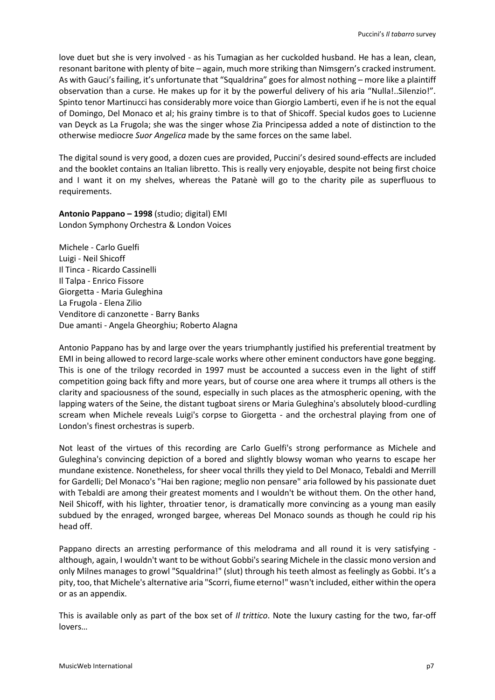love duet but she is very involved - as his Tumagian as her cuckolded husband. He has a lean, clean, resonant baritone with plenty of bite – again, much more striking than Nimsgern's cracked instrument. As with Gauci's failing, it's unfortunate that "Squaldrina" goes for almost nothing – more like a plaintiff observation than a curse. He makes up for it by the powerful delivery of his aria "Nulla!..Silenzio!". Spinto tenor Martinucci has considerably more voice than Giorgio Lamberti, even if he is not the equal of Domingo, Del Monaco et al; his grainy timbre is to that of Shicoff. Special kudos goes to Lucienne van Deyck as La Frugola; she was the singer whose Zia Principessa added a note of distinction to the otherwise mediocre *Suor Angelica* made by the same forces on the same label.

The digital sound is very good, a dozen cues are provided, Puccini's desired sound-effects are included and the booklet contains an Italian libretto. This is really very enjoyable, despite not being first choice and I want it on my shelves, whereas the Patanè will go to the charity pile as superfluous to requirements.

**Antonio Pappano – 1998** (studio; digital) EMI London Symphony Orchestra & London Voices

Michele - Carlo Guelfi Luigi - Neil Shicoff Il Tinca - Ricardo Cassinelli Il Talpa - Enrico Fissore Giorgetta - Maria Guleghina La Frugola - Elena Zilio Venditore di canzonette - Barry Banks Due amanti - Angela Gheorghiu; Roberto Alagna

Antonio Pappano has by and large over the years triumphantly justified his preferential treatment by EMI in being allowed to record large-scale works where other eminent conductors have gone begging. This is one of the trilogy recorded in 1997 must be accounted a success even in the light of stiff competition going back fifty and more years, but of course one area where it trumps all others is the clarity and spaciousness of the sound, especially in such places as the atmospheric opening, with the lapping waters of the Seine, the distant tugboat sirens or Maria Guleghina's absolutely blood-curdling scream when Michele reveals Luigi's corpse to Giorgetta - and the orchestral playing from one of London's finest orchestras is superb.

Not least of the virtues of this recording are Carlo Guelfi's strong performance as Michele and Guleghina's convincing depiction of a bored and slightly blowsy woman who yearns to escape her mundane existence. Nonetheless, for sheer vocal thrills they yield to Del Monaco, Tebaldi and Merrill for Gardelli; Del Monaco's "Hai ben ragione; meglio non pensare" aria followed by his passionate duet with Tebaldi are among their greatest moments and I wouldn't be without them. On the other hand, Neil Shicoff, with his lighter, throatier tenor, is dramatically more convincing as a young man easily subdued by the enraged, wronged bargee, whereas Del Monaco sounds as though he could rip his head off.

Pappano directs an arresting performance of this melodrama and all round it is very satisfying although, again, I wouldn't want to be without Gobbi's searing Michele in the classic mono version and only Milnes manages to growl "Squaldrina!" (slut) through his teeth almost as feelingly as Gobbi. It's a pity, too,that Michele's alternative aria "Scorri, fiume eterno!" wasn't included, either within the opera or as an appendix.

This is available only as part of the box set of *Il trittico*. Note the luxury casting for the two, far-off lovers…